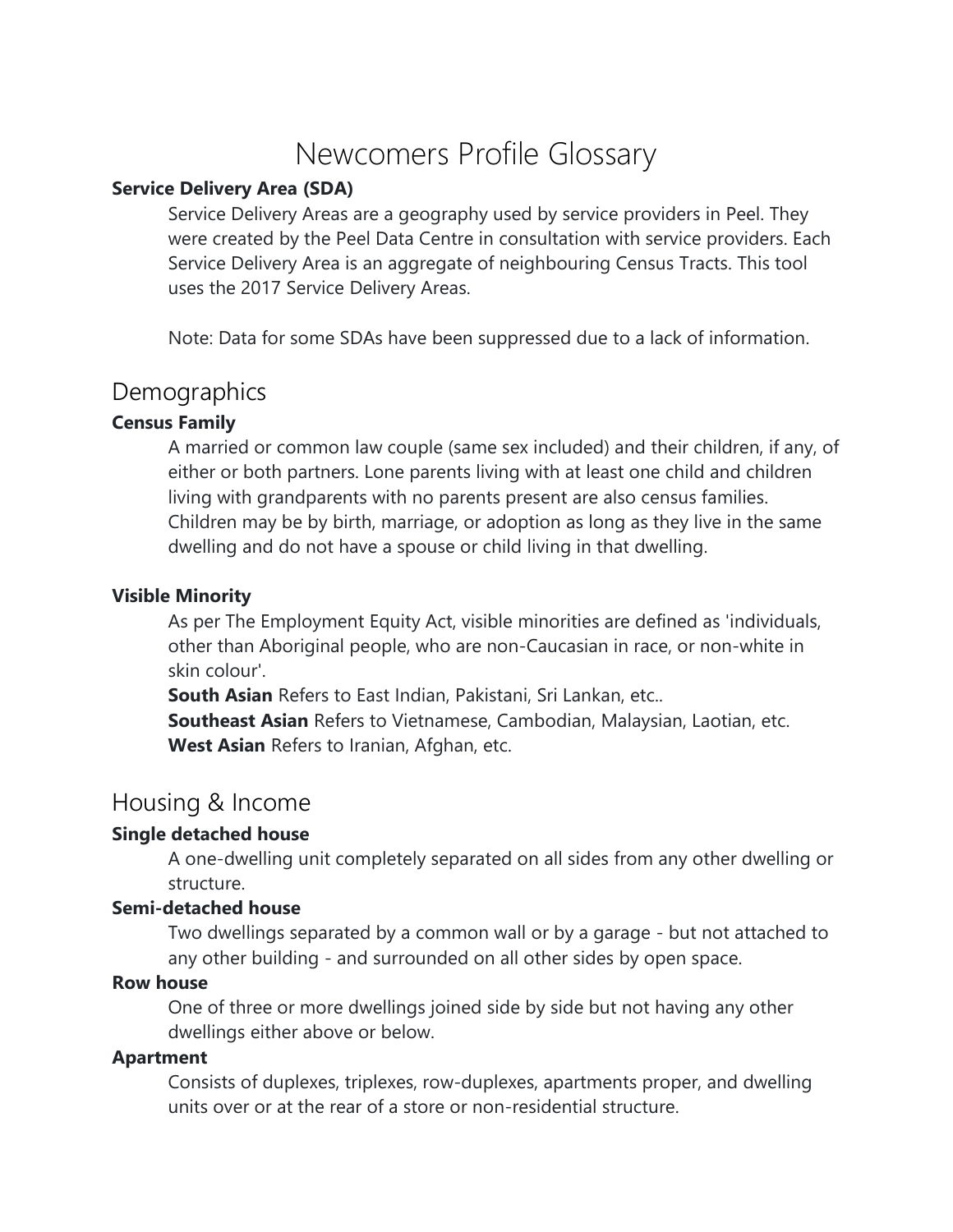# Newcomers Profile Glossary

### **Service Delivery Area (SDA)**

Service Delivery Areas are a geography used by service providers in Peel. They were created by the Peel Data Centre in consultation with service providers. Each Service Delivery Area is an aggregate of neighbouring Census Tracts. This tool uses the 2017 Service Delivery Areas.

Note: Data for some SDAs have been suppressed due to a lack of information.

## **Demographics**

### **Census Family**

A married or common law couple (same sex included) and their children, if any, of either or both partners. Lone parents living with at least one child and children living with grandparents with no parents present are also census families. Children may be by birth, marriage, or adoption as long as they live in the same dwelling and do not have a spouse or child living in that dwelling.

### **Visible Minority**

As per The Employment Equity Act, visible minorities are defined as 'individuals, other than Aboriginal people, who are non-Caucasian in race, or non-white in skin colour'.

**South Asian** Refers to East Indian, Pakistani, Sri Lankan, etc.. **Southeast Asian** Refers to Vietnamese, Cambodian, Malaysian, Laotian, etc. **West Asian** Refers to Iranian, Afghan, etc.

# Housing & Income

### **Single detached house**

A one-dwelling unit completely separated on all sides from any other dwelling or structure.

### **Semi-detached house**

Two dwellings separated by a common wall or by a garage - but not attached to any other building - and surrounded on all other sides by open space.

### **Row house**

One of three or more dwellings joined side by side but not having any other dwellings either above or below.

### **Apartment**

Consists of duplexes, triplexes, row-duplexes, apartments proper, and dwelling units over or at the rear of a store or non-residential structure.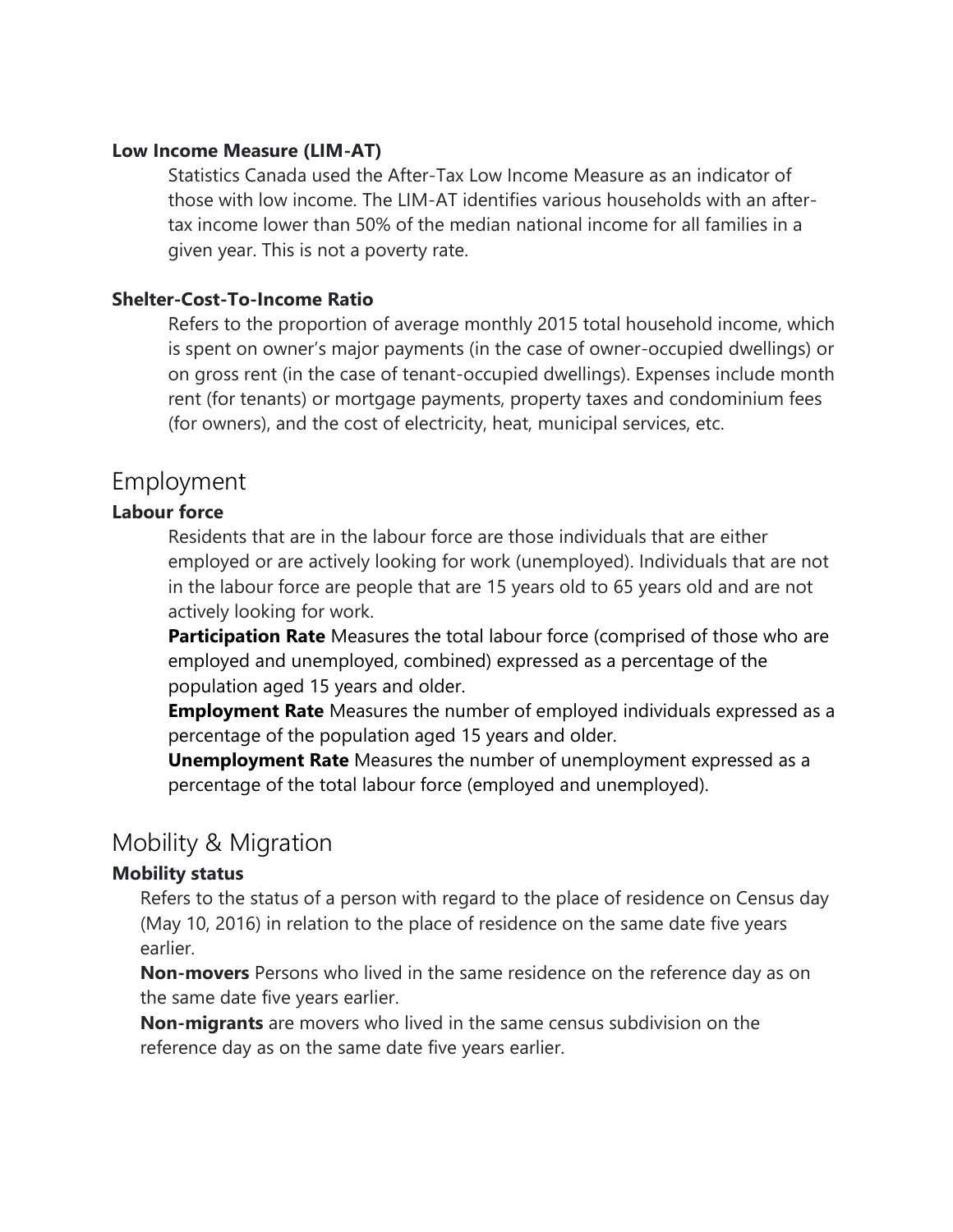### **Low Income Measure (LIM-AT)**

Statistics Canada used the After-Tax Low Income Measure as an indicator of those with low income. The LIM-AT identifies various households with an aftertax income lower than 50% of the median national income for all families in a given year. This is not a poverty rate.

### **Shelter-Cost-To-Income Ratio**

Refers to the proportion of average monthly 2015 total household income, which is spent on owner's major payments (in the case of owner-occupied dwellings) or on gross rent (in the case of tenant-occupied dwellings). Expenses include month rent (for tenants) or mortgage payments, property taxes and condominium fees (for owners), and the cost of electricity, heat, municipal services, etc.

## Employment

### **Labour force**

Residents that are in the labour force are those individuals that are either employed or are actively looking for work (unemployed). Individuals that are not in the labour force are people that are 15 years old to 65 years old and are not actively looking for work.

**Participation Rate** Measures the total labour force (comprised of those who are employed and unemployed, combined) expressed as a percentage of the population aged 15 years and older.

**Employment Rate** Measures the number of employed individuals expressed as a percentage of the population aged 15 years and older.

**Unemployment Rate** Measures the number of unemployment expressed as a percentage of the total labour force (employed and unemployed).

# Mobility & Migration

### **Mobility status**

Refers to the status of a person with regard to the place of residence on Census day (May 10, 2016) in relation to the place of residence on the same date five years earlier.

**Non-movers** Persons who lived in the same residence on the reference day as on the same date five years earlier.

**Non-migrants** are movers who lived in the same census subdivision on the reference day as on the same date five years earlier.